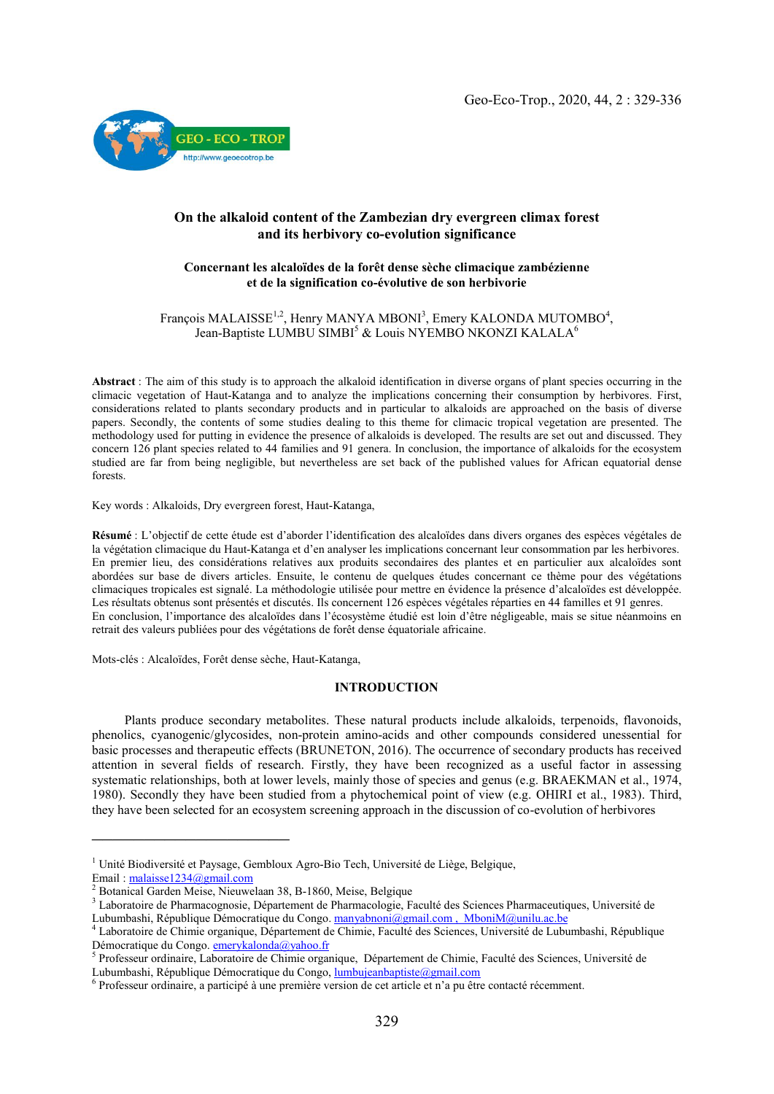

# On the alkaloid content of the Zambezian dry evergreen climax forest and its herbivory co-evolution significance

## Concernant les alcaloïdes de la forêt dense sèche climacique zambézienne et de la signification co-évolutive de son herbivorie

### François MALAISSE<sup>1,2</sup>, Henry MANYA MBONI<sup>3</sup>, Emery KALONDA MUTOMBO<sup>4</sup>, Jean-Baptiste LUMBU SIMBI<sup>5</sup> & Louis NYEMBO NKONZI KALALA<sup>6</sup>

Abstract : The aim of this study is to approach the alkaloid identification in diverse organs of plant species occurring in the climacic vegetation of Haut-Katanga and to analyze the implications concerning their consumption by herbivores. First, considerations related to plants secondary products and in particular to alkaloids are approached on the basis of diverse papers. Secondly, the contents of some studies dealing to this theme for climacic tropical vegetation are presented. The methodology used for putting in evidence the presence of alkaloids is developed. The results are set out and discussed. They concern 126 plant species related to 44 families and 91 genera. In conclusion, the importance of alkaloids for the ecosystem studied are far from being negligible, but nevertheless are set back of the published values for African equatorial dense forests.

Key words : Alkaloids, Dry evergreen forest, Haut-Katanga,

Résumé : L'objectif de cette étude est d'aborder l'identification des alcaloïdes dans divers organes des espèces végétales de la végétation climacique du Haut-Katanga et d'en analyser les implications concernant leur consommation par les herbivores. En premier lieu, des considérations relatives aux produits secondaires des plantes et en particulier aux alcaloïdes sont abordées sur base de divers articles. Ensuite, le contenu de quelques études concernant ce thème pour des végétations climaciques tropicales est signalé. La méthodologie utilisée pour mettre en évidence la présence d'alcaloïdes est développée. Les résultats obtenus sont présentés et discutés. Ils concernent 126 espèces végétales réparties en 44 familles et 91 genres. En conclusion, l'importance des alcaloïdes dans l'écosystème étudié est loin d'être négligeable, mais se situe néanmoins en retrait des valeurs publiées pour des végétations de forêt dense équatoriale africaine.

Mots-clés : Alcaloïdes, Forêt dense sèche, Haut-Katanga,

### INTRODUCTION

 Plants produce secondary metabolites. These natural products include alkaloids, terpenoids, flavonoids, phenolics, cyanogenic/glycosides, non-protein amino-acids and other compounds considered unessential for basic processes and therapeutic effects (BRUNETON, 2016). The occurrence of secondary products has received attention in several fields of research. Firstly, they have been recognized as a useful factor in assessing systematic relationships, both at lower levels, mainly those of species and genus (e.g. BRAEKMAN et al., 1974, 1980). Secondly they have been studied from a phytochemical point of view (e.g. OHIRI et al., 1983). Third, they have been selected for an ecosystem screening approach in the discussion of co-evolution of herbivores

 $\overline{\phantom{a}}$ 

<sup>&</sup>lt;sup>1</sup> Unité Biodiversité et Paysage, Gembloux Agro-Bio Tech, Université de Liège, Belgique,<br>
Email : malaisse 1234@gmail.com<br>
<sup>2</sup> Botanical Garden Meise, Nieuwelaan 38, B-1860, Meise, Belgique<br>
<sup>3</sup> Laboratoire de Pharmacogn

<sup>&</sup>lt;sup>4</sup> Laboratoire de Chimie organique, Département de Chimie, Faculté des Sciences, Université de Lubumbashi, République<br>Démocratique du Congo. **emerykalonda@yahoo.fr** 

<sup>&</sup>lt;sup>5</sup> Professeur ordinaire, Laboratoire de Chimie organique, Département de Chimie, Faculté des Sciences, Université de Lubumbashi, République Démocratique du Congo, lumbujeanbaptiste @gmail.com <sup>6</sup> Professeur ordinaire, a participé à une première version de cet article et n'a pu être contacté récemment.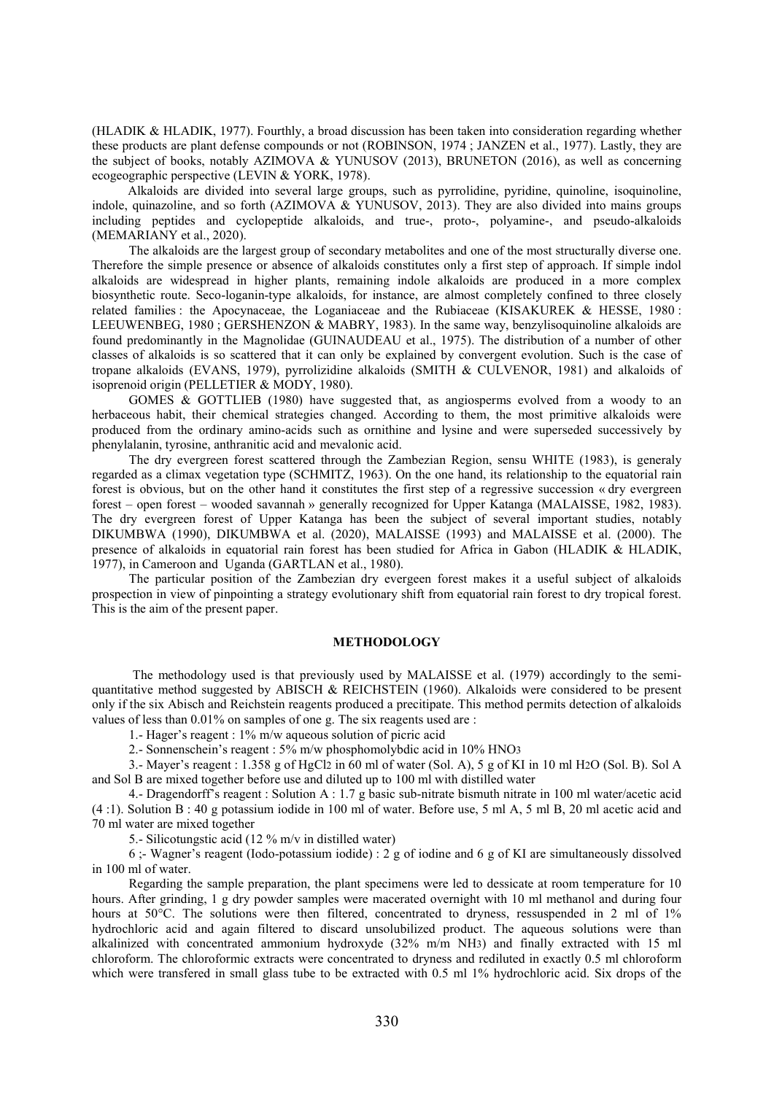(HLADIK & HLADIK, 1977). Fourthly, a broad discussion has been taken into consideration regarding whether these products are plant defense compounds or not (ROBINSON, 1974 ; JANZEN et al., 1977). Lastly, they are the subject of books, notably AZIMOVA & YUNUSOV (2013), BRUNETON (2016), as well as concerning ecogeographic perspective (LEVIN & YORK, 1978).

 Alkaloids are divided into several large groups, such as pyrrolidine, pyridine, quinoline, isoquinoline, indole, quinazoline, and so forth (AZIMOVA & YUNUSOV, 2013). They are also divided into mains groups including peptides and cyclopeptide alkaloids, and true-, proto-, polyamine-, and pseudo-alkaloids (MEMARIANY et al., 2020).

The alkaloids are the largest group of secondary metabolites and one of the most structurally diverse one. Therefore the simple presence or absence of alkaloids constitutes only a first step of approach. If simple indol alkaloids are widespread in higher plants, remaining indole alkaloids are produced in a more complex biosynthetic route. Seco-loganin-type alkaloids, for instance, are almost completely confined to three closely related families : the Apocynaceae, the Loganiaceae and the Rubiaceae (KISAKUREK & HESSE, 1980 : LEEUWENBEG, 1980 ; GERSHENZON & MABRY, 1983). In the same way, benzylisoquinoline alkaloids are found predominantly in the Magnolidae (GUINAUDEAU et al., 1975). The distribution of a number of other classes of alkaloids is so scattered that it can only be explained by convergent evolution. Such is the case of tropane alkaloids (EVANS, 1979), pyrrolizidine alkaloids (SMITH & CULVENOR, 1981) and alkaloids of isoprenoid origin (PELLETIER & MODY, 1980).

GOMES & GOTTLIEB (1980) have suggested that, as angiosperms evolved from a woody to an herbaceous habit, their chemical strategies changed. According to them, the most primitive alkaloids were produced from the ordinary amino-acids such as ornithine and lysine and were superseded successively by phenylalanin, tyrosine, anthranitic acid and mevalonic acid.

The dry evergreen forest scattered through the Zambezian Region, sensu WHITE (1983), is generaly regarded as a climax vegetation type (SCHMITZ, 1963). On the one hand, its relationship to the equatorial rain forest is obvious, but on the other hand it constitutes the first step of a regressive succession « dry evergreen forest – open forest – wooded savannah » generally recognized for Upper Katanga (MALAISSE, 1982, 1983). The dry evergreen forest of Upper Katanga has been the subject of several important studies, notably DIKUMBWA (1990), DIKUMBWA et al. (2020), MALAISSE (1993) and MALAISSE et al. (2000). The presence of alkaloids in equatorial rain forest has been studied for Africa in Gabon (HLADIK & HLADIK, 1977), in Cameroon and Uganda (GARTLAN et al., 1980).

The particular position of the Zambezian dry evergeen forest makes it a useful subject of alkaloids prospection in view of pinpointing a strategy evolutionary shift from equatorial rain forest to dry tropical forest. This is the aim of the present paper.

#### METHODOLOGY

The methodology used is that previously used by MALAISSE et al. (1979) accordingly to the semiquantitative method suggested by ABISCH & REICHSTEIN (1960). Alkaloids were considered to be present only if the six Abisch and Reichstein reagents produced a precitipate. This method permits detection of alkaloids values of less than 0.01% on samples of one g. The six reagents used are :

1.- Hager's reagent : 1% m/w aqueous solution of picric acid

2.- Sonnenschein's reagent : 5% m/w phosphomolybdic acid in 10% HNO3

3.- Mayer's reagent : 1.358 g of HgCl2 in 60 ml of water (Sol. A), 5 g of KI in 10 ml H2O (Sol. B). Sol A and Sol B are mixed together before use and diluted up to 100 ml with distilled water

4.- Dragendorff's reagent : Solution A : 1.7 g basic sub-nitrate bismuth nitrate in 100 ml water/acetic acid (4 :1). Solution B : 40 g potassium iodide in 100 ml of water. Before use, 5 ml A, 5 ml B, 20 ml acetic acid and 70 ml water are mixed together

5.- Silicotungstic acid (12 % m/v in distilled water)

6 ;- Wagner's reagent (Iodo-potassium iodide) : 2 g of iodine and 6 g of KI are simultaneously dissolved in 100 ml of water.

Regarding the sample preparation, the plant specimens were led to dessicate at room temperature for 10 hours. After grinding, 1 g dry powder samples were macerated overnight with 10 ml methanol and during four hours at 50°C. The solutions were then filtered, concentrated to dryness, ressuspended in 2 ml of 1% hydrochloric acid and again filtered to discard unsolubilized product. The aqueous solutions were than alkalinized with concentrated ammonium hydroxyde (32% m/m NH3) and finally extracted with 15 ml chloroform. The chloroformic extracts were concentrated to dryness and rediluted in exactly 0.5 ml chloroform which were transfered in small glass tube to be extracted with 0.5 ml 1% hydrochloric acid. Six drops of the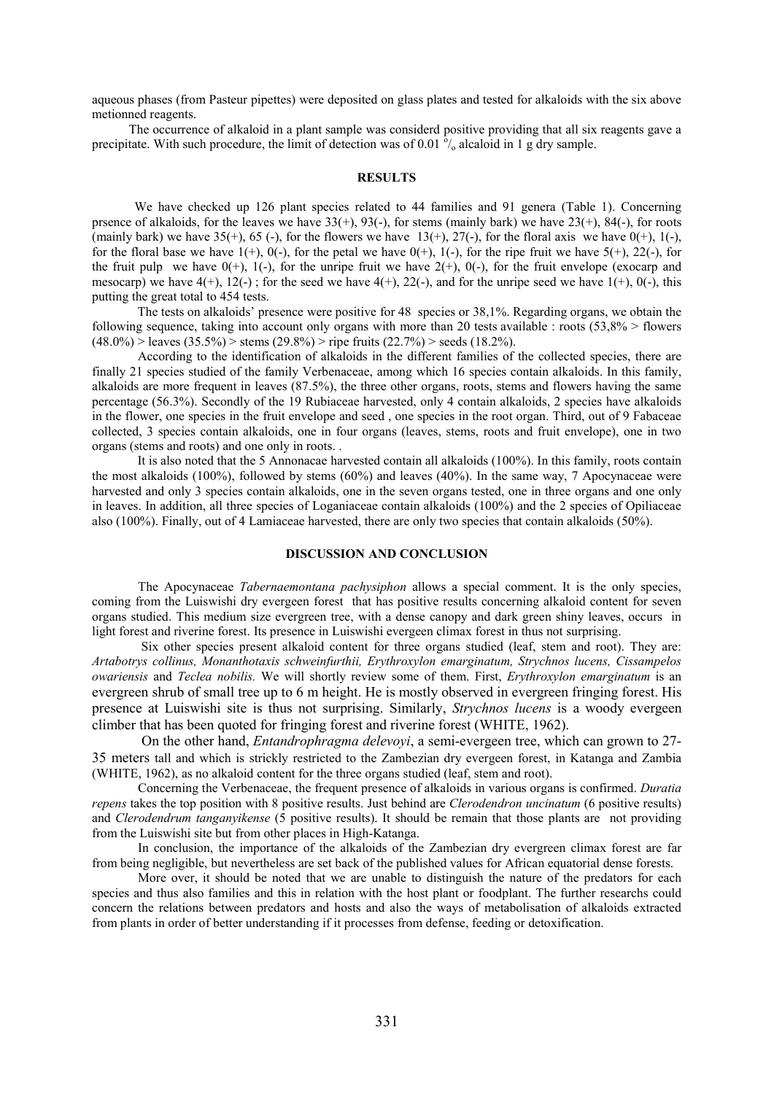aqueous phases (from Pasteur pipettes) were deposited on glass plates and tested for alkaloids with the six above metionned reagents.

The occurrence of alkaloid in a plant sample was considerd positive providing that all six reagents gave a precipitate. With such procedure, the limit of detection was of 0.01  $\delta/$  alcaloid in 1 g dry sample.

### RESULTS

We have checked up 126 plant species related to 44 families and 91 genera (Table 1). Concerning prsence of alkaloids, for the leaves we have  $33(+)$ ,  $93(-)$ , for stems (mainly bark) we have  $23(+)$ ,  $84(-)$ , for roots (mainly bark) we have  $35(+)$ ,  $65(-)$ , for the flowers we have  $13(+)$ ,  $27(-)$ , for the floral axis we have  $0(+)$ ,  $1(-)$ , for the floral base we have  $1(+)$ ,  $0(-)$ , for the petal we have  $0(+)$ ,  $1(-)$ , for the ripe fruit we have  $5(+)$ ,  $22(-)$ , for the fruit pulp we have  $0(+)$ ,  $1(-)$ , for the unripe fruit we have  $2(+)$ ,  $0(-)$ , for the fruit envelope (exocarp and mesocarp) we have  $4(+)$ ,  $12(-)$ ; for the seed we have  $4(+)$ ,  $22(-)$ , and for the unripe seed we have  $1(+)$ ,  $0(-)$ , this putting the great total to 454 tests.

 The tests on alkaloids' presence were positive for 48 species or 38,1%. Regarding organs, we obtain the following sequence, taking into account only organs with more than 20 tests available : roots (53,8% > flowers  $(48.0\%)$  > leaves  $(35.5\%)$  > stems  $(29.8\%)$  > ripe fruits  $(22.7\%)$  > seeds  $(18.2\%)$ .

 According to the identification of alkaloids in the different families of the collected species, there are finally 21 species studied of the family Verbenaceae, among which 16 species contain alkaloids. In this family, alkaloids are more frequent in leaves (87.5%), the three other organs, roots, stems and flowers having the same percentage (56.3%). Secondly of the 19 Rubiaceae harvested, only 4 contain alkaloids, 2 species have alkaloids in the flower, one species in the fruit envelope and seed , one species in the root organ. Third, out of 9 Fabaceae collected, 3 species contain alkaloids, one in four organs (leaves, stems, roots and fruit envelope), one in two organs (stems and roots) and one only in roots. .

 It is also noted that the 5 Annonacae harvested contain all alkaloids (100%). In this family, roots contain the most alkaloids (100%), followed by stems (60%) and leaves (40%). In the same way, 7 Apocynaceae were harvested and only 3 species contain alkaloids, one in the seven organs tested, one in three organs and one only in leaves. In addition, all three species of Loganiaceae contain alkaloids (100%) and the 2 species of Opiliaceae also (100%). Finally, out of 4 Lamiaceae harvested, there are only two species that contain alkaloids (50%).

#### DISCUSSION AND CONCLUSION

The Apocynaceae *Tabernaemontana pachysiphon* allows a special comment. It is the only species, coming from the Luiswishi dry evergeen forest that has positive results concerning alkaloid content for seven organs studied. This medium size evergreen tree, with a dense canopy and dark green shiny leaves, occurs in light forest and riverine forest. Its presence in Luiswishi evergeen climax forest in thus not surprising.

Six other species present alkaloid content for three organs studied (leaf, stem and root). They are: *Artabotrys collinus, Monanthotaxis schweinfurthii, Erythroxylon emarginatum, Strychnos lucens, Cissampelos owariensis* and *Teclea nobilis.* We will shortly review some of them. First, *Erythroxylon emarginatum* is an evergreen shrub of small tree up to 6 m height. He is mostly observed in evergreen fringing forest. His presence at Luiswishi site is thus not surprising. Similarly, *Strychnos lucens* is a woody evergeen climber that has been quoted for fringing forest and riverine forest (WHITE, 1962).

On the other hand, *Entandrophragma delevoyi*, a semi-evergeen tree, which can grown to 27- 35 meters tall and which is strickly restricted to the Zambezian dry evergeen forest, in Katanga and Zambia (WHITE, 1962), as no alkaloid content for the three organs studied (leaf, stem and root).

Concerning the Verbenaceae, the frequent presence of alkaloids in various organs is confirmed. *Duratia repens* takes the top position with 8 positive results. Just behind are *Clerodendron uncinatum* (6 positive results) and *Clerodendrum tanganyikense* (5 positive results). It should be remain that those plants are not providing from the Luiswishi site but from other places in High-Katanga.

In conclusion, the importance of the alkaloids of the Zambezian dry evergreen climax forest are far from being negligible, but nevertheless are set back of the published values for African equatorial dense forests.

More over, it should be noted that we are unable to distinguish the nature of the predators for each species and thus also families and this in relation with the host plant or foodplant. The further researchs could concern the relations between predators and hosts and also the ways of metabolisation of alkaloids extracted from plants in order of better understanding if it processes from defense, feeding or detoxification.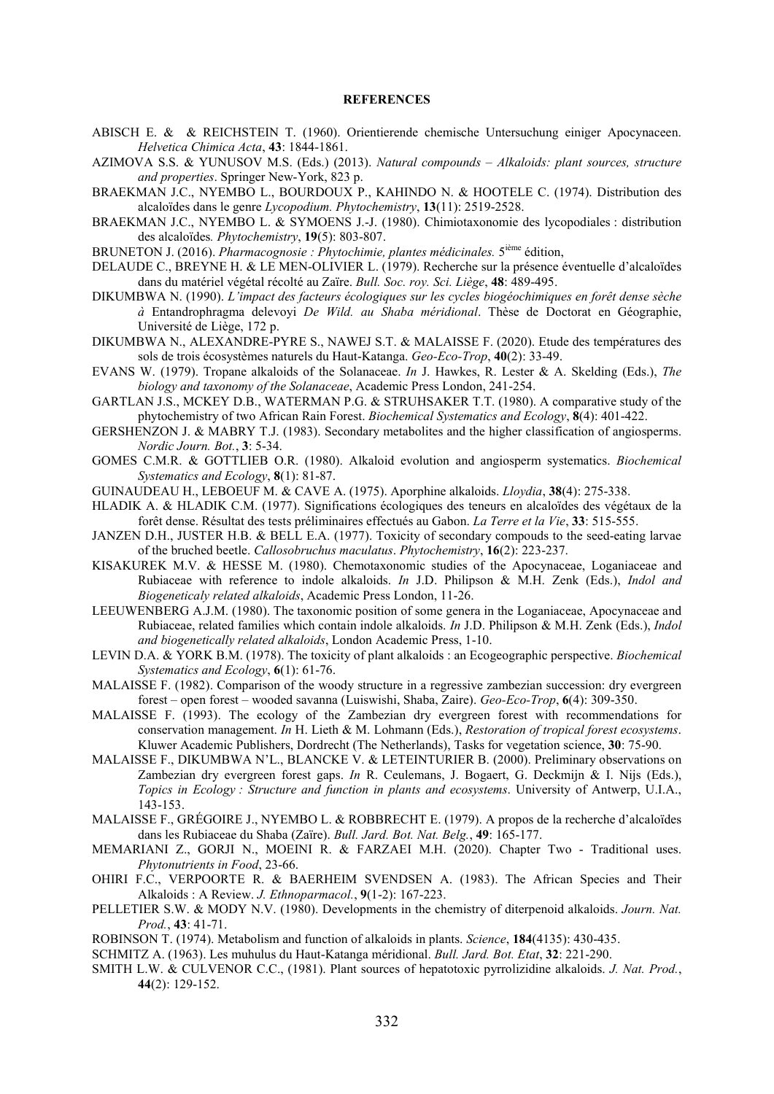#### **REFERENCES**

- ABISCH E. & & REICHSTEIN T. (1960). Orientierende chemische Untersuchung einiger Apocynaceen. *Helvetica Chimica Acta*, 43: 1844-1861.
- AZIMOVA S.S. & YUNUSOV M.S. (Eds.) (2013). *Natural compounds – Alkaloids: plant sources, structure and properties*. Springer New-York, 823 p.
- BRAEKMAN J.C., NYEMBO L., BOURDOUX P., KAHINDO N. & HOOTELE C. (1974). Distribution des alcaloïdes dans le genre *Lycopodium. Phytochemistry*, 13(11): 2519-2528.
- BRAEKMAN J.C., NYEMBO L. & SYMOENS J.-J. (1980). Chimiotaxonomie des lycopodiales : distribution des alcaloïdes*. Phytochemistry*, 19(5): 803-807.
- BRUNETON J. (2016). *Pharmacognosie : Phytochimie, plantes médicinales.* 5ième édition,
- DELAUDE C., BREYNE H. & LE MEN-OLIVIER L. (1979). Recherche sur la présence éventuelle d'alcaloïdes dans du matériel végétal récolté au Zaïre. *Bull. Soc. roy. Sci. Liège*, 48: 489-495.
- DIKUMBWA N. (1990). *L'impact des facteurs écologiques sur les cycles biogéochimiques en forêt dense sèche à* Entandrophragma delevoyi *De Wild. au Shaba méridional*. Thèse de Doctorat en Géographie, Université de Liège, 172 p.
- DIKUMBWA N., ALEXANDRE-PYRE S., NAWEJ S.T. & MALAISSE F. (2020). Etude des températures des sols de trois écosystèmes naturels du Haut-Katanga. *Geo-Eco-Trop*, 40(2): 33-49.
- EVANS W. (1979). Tropane alkaloids of the Solanaceae. *In* J. Hawkes, R. Lester & A. Skelding (Eds.), *The biology and taxonomy of the Solanaceae*, Academic Press London, 241-254.
- GARTLAN J.S., MCKEY D.B., WATERMAN P.G. & STRUHSAKER T.T. (1980). A comparative study of the phytochemistry of two African Rain Forest. *Biochemical Systematics and Ecology*, 8(4): 401-422.
- GERSHENZON J. & MABRY T.J. (1983). Secondary metabolites and the higher classification of angiosperms. *Nordic Journ. Bot.*, 3: 5-34.
- GOMES C.M.R. & GOTTLIEB O.R. (1980). Alkaloid evolution and angiosperm systematics. *Biochemical Systematics and Ecology*, 8(1): 81-87.
- GUINAUDEAU H., LEBOEUF M. & CAVE A. (1975). Aporphine alkaloids. *Lloydia*, 38(4): 275-338.
- HLADIK A. & HLADIK C.M. (1977). Significations écologiques des teneurs en alcaloïdes des végétaux de la forêt dense. Résultat des tests préliminaires effectués au Gabon. *La Terre et la Vie*, 33: 515-555.
- JANZEN D.H., JUSTER H.B. & BELL E.A. (1977). Toxicity of secondary compouds to the seed-eating larvae of the bruched beetle. *Callosobruchus maculatus*. *Phytochemistry*, 16(2): 223-237.
- KISAKUREK M.V. & HESSE M. (1980). Chemotaxonomic studies of the Apocynaceae, Loganiaceae and Rubiaceae with reference to indole alkaloids. *In* J.D. Philipson & M.H. Zenk (Eds.), *Indol and Biogeneticaly related alkaloids*, Academic Press London, 11-26.
- LEEUWENBERG A.J.M. (1980). The taxonomic position of some genera in the Loganiaceae, Apocynaceae and Rubiaceae, related families which contain indole alkaloids. *In* J.D. Philipson & M.H. Zenk (Eds.), *Indol and biogenetically related alkaloids*, London Academic Press, 1-10.
- LEVIN D.A. & YORK B.M. (1978). The toxicity of plant alkaloids : an Ecogeographic perspective. *Biochemical Systematics and Ecology*, 6(1): 61-76.
- MALAISSE F. (1982). Comparison of the woody structure in a regressive zambezian succession: dry evergreen forest – open forest – wooded savanna (Luiswishi, Shaba, Zaire). *Geo-Eco-Trop*, 6(4): 309-350.
- MALAISSE F. (1993). The ecology of the Zambezian dry evergreen forest with recommendations for conservation management. *In* H. Lieth & M. Lohmann (Eds.), *Restoration of tropical forest ecosystems*. Kluwer Academic Publishers, Dordrecht (The Netherlands), Tasks for vegetation science, 30: 75-90.
- MALAISSE F., DIKUMBWA N'L., BLANCKE V. & LETEINTURIER B. (2000). Preliminary observations on Zambezian dry evergreen forest gaps. *In* R. Ceulemans, J. Bogaert, G. Deckmijn & I. Nijs (Eds.), *Topics in Ecology : Structure and function in plants and ecosystems*. University of Antwerp, U.I.A., 143-153.
- MALAISSE F., GRÉGOIRE J., NYEMBO L. & ROBBRECHT E. (1979). A propos de la recherche d'alcaloïdes dans les Rubiaceae du Shaba (Zaïre). *Bull. Jard. Bot. Nat. Belg.*, 49: 165-177.
- MEMARIANI Z., GORJI N., MOEINI R. & FARZAEI M.H. (2020). Chapter Two Traditional uses. *Phytonutrients in Food*, 23-66.
- OHIRI F.C., VERPOORTE R. & BAERHEIM SVENDSEN A. (1983). The African Species and Their Alkaloids : A Review. *J. Ethnoparmacol.*, 9(1-2): 167-223.
- PELLETIER S.W. & MODY N.V. (1980). Developments in the chemistry of diterpenoid alkaloids. *Journ. Nat. Prod.*, 43: 41-71.
- ROBINSON T. (1974). Metabolism and function of alkaloids in plants. *Science*, 184(4135): 430-435.
- SCHMITZ A. (1963). Les muhulus du Haut-Katanga méridional. *Bull. Jard. Bot. Etat*, 32: 221-290.
- SMITH L.W. & CULVENOR C.C., (1981). Plant sources of hepatotoxic pyrrolizidine alkaloids. *J. Nat. Prod.*, 44(2): 129-152.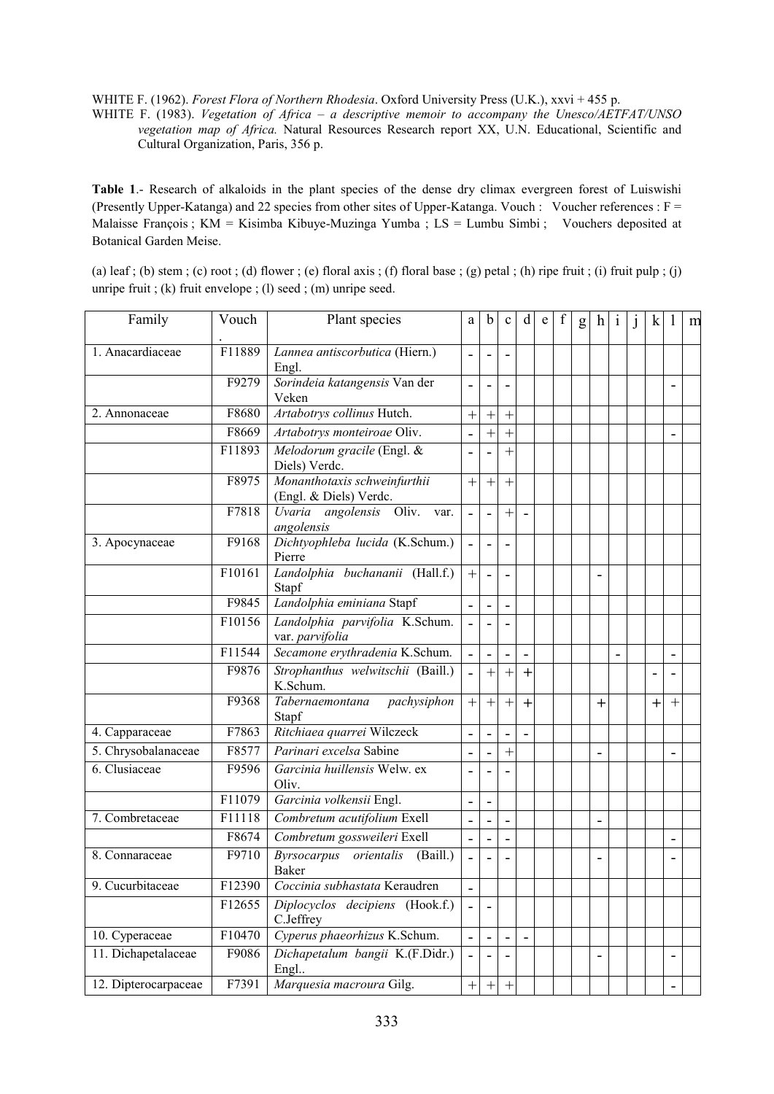WHITE F. (1962). *Forest Flora of Northern Rhodesia*. Oxford University Press (U.K.), xxvi + 455 p.

WHITE F. (1983). *Vegetation of Africa – a descriptive memoir to accompany the Unesco/AETFAT/UNSO vegetation map of Africa.* Natural Resources Research report XX, U.N. Educational, Scientific and Cultural Organization, Paris, 356 p.

Table 1.- Research of alkaloids in the plant species of the dense dry climax evergreen forest of Luiswishi (Presently Upper-Katanga) and 22 species from other sites of Upper-Katanga. Vouch : Voucher references : F = Malaisse François ; KM = Kisimba Kibuye-Muzinga Yumba ; LS = Lumbu Simbi ; Vouchers deposited at Botanical Garden Meise.

(a) leaf ; (b) stem ; (c) root ; (d) flower ; (e) floral axis ; (f) floral base ; (g) petal ; (h) ripe fruit ; (i) fruit pulp ; (j) unripe fruit ; (k) fruit envelope ; (l) seed ; (m) unripe seed.

| Family               | Vouch  | Plant species                                          | a                        | b                | $\mathbf{c}$     | d              | e | f | g | $\hbar$        | 1 | k |        | m |
|----------------------|--------|--------------------------------------------------------|--------------------------|------------------|------------------|----------------|---|---|---|----------------|---|---|--------|---|
| 1. Anacardiaceae     | F11889 | Lannea antiscorbutica (Hiern.)<br>Engl.                |                          |                  |                  |                |   |   |   |                |   |   |        |   |
|                      | F9279  | Sorindeia katangensis Van der<br>Veken                 |                          |                  |                  |                |   |   |   |                |   |   |        |   |
| 2. Annonaceae        | F8680  | Artabotrys collinus Hutch.                             | $^{+}$                   | $^{+}$           | $^{+}$           |                |   |   |   |                |   |   |        |   |
|                      | F8669  | Artabotrys monteiroae Oliv.                            | $\overline{\phantom{0}}$ | $^{+}$           | $^{+}$           |                |   |   |   |                |   |   |        |   |
|                      | F11893 | Melodorum gracile (Engl. &<br>Diels) Verdc.            |                          |                  | $\ddot{}$        |                |   |   |   |                |   |   |        |   |
|                      | F8975  | Monanthotaxis schweinfurthii<br>(Engl. & Diels) Verdc. | $^{+}$                   | $^{+}$           | $^{+}$           |                |   |   |   |                |   |   |        |   |
|                      | F7818  | Uvaria angolensis Oliv.<br>var.<br>angolensis          | $\blacksquare$           | $\overline{a}$   | $^{+}$           |                |   |   |   |                |   |   |        |   |
| 3. Apocynaceae       | F9168  | Dichtyophleba lucida (K.Schum.)<br>Pierre              |                          |                  |                  |                |   |   |   |                |   |   |        |   |
|                      | F10161 | Landolphia buchananii (Hall.f.)<br>Stapf               | $^{+}$                   |                  |                  |                |   |   |   | $\blacksquare$ |   |   |        |   |
|                      | F9845  | Landolphia eminiana Stapf                              | $\overline{\phantom{a}}$ | $\overline{a}$   |                  |                |   |   |   |                |   |   |        |   |
|                      | F10156 | Landolphia parvifolia K.Schum.<br>var. parvifolia      |                          |                  |                  |                |   |   |   |                |   |   |        |   |
|                      | F11544 | Secamone erythradenia K.Schum.                         |                          |                  |                  |                |   |   |   |                |   |   |        |   |
|                      | F9876  | Strophanthus welwitschii (Baill.)<br>K.Schum.          |                          | $\overline{+}$   | $\overline{+}$   | $+$            |   |   |   |                |   |   |        |   |
|                      | F9368  | Tabernaemontana<br>pachysiphon<br>Stapf                | $^{+}$                   | $^{+}$           | $^{+}$           | $\overline{+}$ |   |   |   | $+$            |   | ┿ | $^{+}$ |   |
| 4. Capparaceae       | F7863  | Ritchiaea quarrei Wilczeck                             |                          |                  |                  |                |   |   |   |                |   |   |        |   |
| 5. Chrysobalanaceae  | F8577  | Parinari excelsa Sabine                                |                          |                  | $^{+}$           |                |   |   |   |                |   |   |        |   |
| 6. Clusiaceae        | F9596  | Garcinia huillensis Welw. ex<br>Oliv.                  |                          |                  |                  |                |   |   |   |                |   |   |        |   |
|                      | F11079 | Garcinia volkensii Engl.                               |                          |                  |                  |                |   |   |   |                |   |   |        |   |
| 7. Combretaceae      | F11118 | Combretum acutifolium Exell                            |                          |                  |                  |                |   |   |   | ٠              |   |   |        |   |
|                      | F8674  | Combretum gossweileri Exell                            | $\overline{\phantom{0}}$ |                  |                  |                |   |   |   |                |   |   |        |   |
| 8. Connaraceae       | F9710  | Byrsocarpus orientalis<br>(Baill.)<br>Baker            |                          |                  |                  |                |   |   |   |                |   |   |        |   |
| 9. Cucurbitaceae     | F12390 | Coccinia subhastata Keraudren                          |                          |                  |                  |                |   |   |   |                |   |   |        |   |
|                      | F12655 | Diplocyclos decipiens (Hook.f.)<br>C.Jeffrey           |                          |                  |                  |                |   |   |   |                |   |   |        |   |
| 10. Cyperaceae       | F10470 | Cyperus phaeorhizus K.Schum.                           |                          |                  |                  |                |   |   |   |                |   |   |        |   |
| 11. Dichapetalaceae  | F9086  | Dichapetalum bangii K.(F.Didr.)<br>Engl                |                          |                  |                  |                |   |   |   | $\overline{a}$ |   |   |        |   |
| 12. Dipterocarpaceae | F7391  | Marquesia macroura Gilg.                               | $\boldsymbol{+}$         | $\boldsymbol{+}$ | $\boldsymbol{+}$ |                |   |   |   |                |   |   |        |   |
|                      |        |                                                        |                          |                  |                  |                |   |   |   |                |   |   |        |   |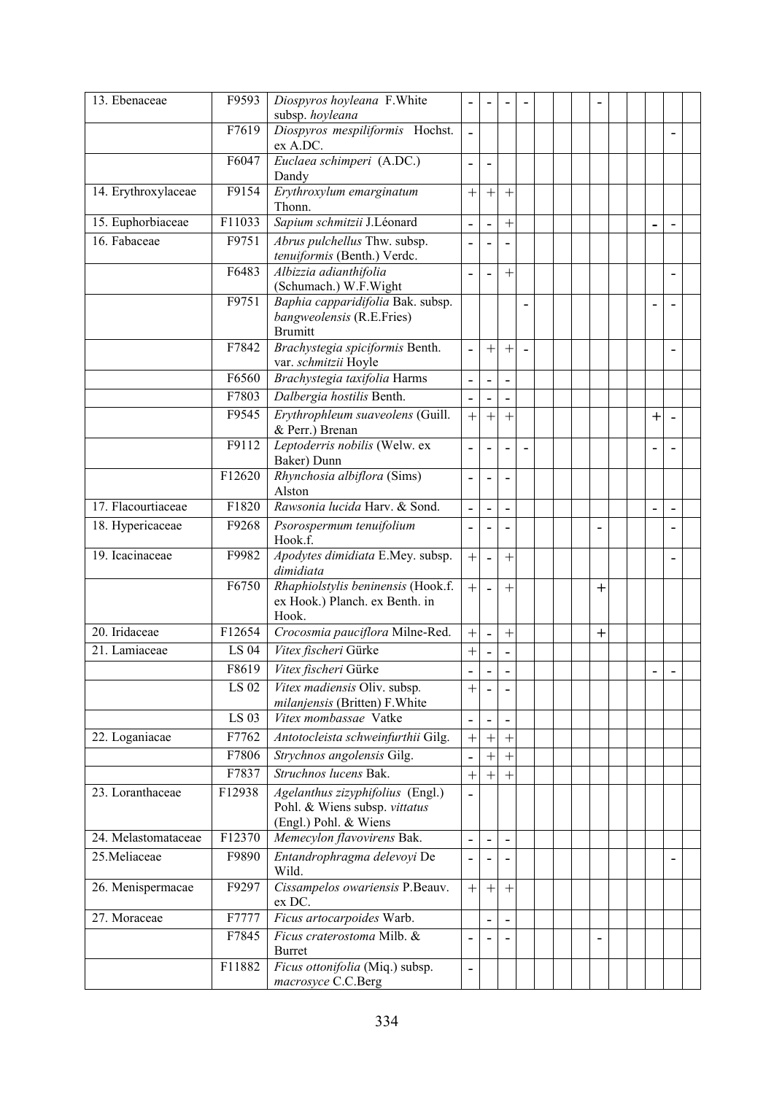| 13. Ebenaceae       | F9593              | Diospyros hoyleana F.White<br>subsp. hoyleana                                              |                              |                          |                |                |  |        |  |        |  |
|---------------------|--------------------|--------------------------------------------------------------------------------------------|------------------------------|--------------------------|----------------|----------------|--|--------|--|--------|--|
|                     | F7619              | Diospyros mespiliformis Hochst.<br>ex A.DC.                                                | $\overline{\phantom{0}}$     |                          |                |                |  |        |  |        |  |
|                     | F6047              | Euclaea schimperi (A.DC.)<br>Dandy                                                         | $\overline{a}$               | ÷                        |                |                |  |        |  |        |  |
| 14. Erythroxylaceae | F9154              | Erythroxylum emarginatum<br>Thonn.                                                         | $^{+}$                       | $^{+}$                   | $^{+}$         |                |  |        |  |        |  |
| 15. Euphorbiaceae   | F11033             | Sapium schmitzii J.Léonard                                                                 | $\qquad \qquad \blacksquare$ | $\overline{\phantom{0}}$ | $^{+}$         |                |  |        |  |        |  |
| 16. Fabaceae        | F9751              | Abrus pulchellus Thw. subsp.<br>tenuiformis (Benth.) Verdc.                                |                              |                          |                |                |  |        |  |        |  |
|                     | F6483              | Albizzia adianthifolia<br>(Schumach.) W.F. Wight                                           |                              |                          | $^{+}$         |                |  |        |  |        |  |
|                     | F9751              | Baphia capparidifolia Bak. subsp.<br>bangweolensis (R.E.Fries)<br><b>Brumitt</b>           |                              |                          |                |                |  |        |  |        |  |
|                     | F7842              | Brachystegia spiciformis Benth.<br>var. schmitzii Hoyle                                    | $\overline{\phantom{a}}$     | $^{+}$                   | $^{+}$         | $\blacksquare$ |  |        |  |        |  |
|                     | F6560              | Brachystegia taxifolia Harms                                                               |                              |                          |                |                |  |        |  |        |  |
|                     | F7803              | Dalbergia hostilis Benth.                                                                  |                              |                          |                |                |  |        |  |        |  |
|                     | F9545              | Erythrophleum suaveolens (Guill.<br>& Perr.) Brenan                                        | $\ddot{}$                    | $\ddot{}$                | $\overline{+}$ |                |  |        |  | $^{+}$ |  |
|                     | F9112              | Leptoderris nobilis (Welw. ex<br>Baker) Dunn                                               |                              |                          |                |                |  |        |  |        |  |
|                     | F12620             | Rhynchosia albiflora (Sims)<br>Alston                                                      |                              |                          |                |                |  |        |  |        |  |
| 17. Flacourtiaceae  | $\overline{F1820}$ | Rawsonia lucida Harv. & Sond.                                                              |                              |                          |                |                |  |        |  |        |  |
| 18. Hypericaceae    | F9268              | Psorospermum tenuifolium<br>Hook.f.                                                        |                              |                          |                |                |  |        |  |        |  |
| 19. Icacinaceae     | F9982              | Apodytes dimidiata E.Mey. subsp.<br>dimidiata                                              | $^{+}$                       |                          | $^{+}$         |                |  |        |  |        |  |
|                     | F6750              | Rhaphiolstylis beninensis (Hook.f.<br>ex Hook.) Planch. ex Benth. in<br>Hook.              | $^{+}$                       |                          | $^{+}$         |                |  | $+$    |  |        |  |
| 20. Iridaceae       | F12654             | Crocosmia pauciflora Milne-Red.                                                            | $^{+}$                       |                          | $^{+}$         |                |  | $^{+}$ |  |        |  |
| 21. Lamiaceae       | LS 04              | Vitex fischeri Gürke                                                                       | $^{+}$                       |                          |                |                |  |        |  |        |  |
|                     | F8619              | Vitex fischeri Gürke                                                                       |                              |                          |                |                |  |        |  |        |  |
|                     | <b>LS 02</b>       | Vitex madiensis Oliv. subsp.<br>milanjensis (Britten) F. White                             | $\ddot{}$                    |                          |                |                |  |        |  |        |  |
|                     | LS 03              | Vitex mombassae Vatke                                                                      |                              |                          |                |                |  |        |  |        |  |
| 22. Loganiacae      | F7762              | Antotocleista schweinfurthii Gilg.                                                         | $^{+}$                       | $^{+}$                   | $^{+}$         |                |  |        |  |        |  |
|                     | F7806              | Strychnos angolensis Gilg.                                                                 |                              | $^{+}$                   | $+$            |                |  |        |  |        |  |
|                     | F7837              | Struchnos lucens Bak.                                                                      | $^{+}$                       | $^{+}$                   | $^{+}$         |                |  |        |  |        |  |
| 23. Loranthaceae    | F12938             | Agelanthus zizyphifolius (Engl.)<br>Pohl. & Wiens subsp. vittatus<br>(Engl.) Pohl. & Wiens | $\overline{\phantom{a}}$     |                          |                |                |  |        |  |        |  |
| 24. Melastomataceae | F12370             | Memecylon flavovirens Bak.                                                                 | $\overline{\phantom{a}}$     | $\overline{\phantom{0}}$ |                |                |  |        |  |        |  |
| 25. Meliaceae       | F9890              | Entandrophragma delevoyi De<br>Wild.                                                       |                              |                          |                |                |  |        |  |        |  |
| 26. Menispermacae   | F9297              | Cissampelos owariensis P.Beauv.<br>ex DC.                                                  | $^{+}$                       | $+$                      | $+$            |                |  |        |  |        |  |
| 27. Moraceae        | F7777              | Ficus artocarpoides Warb.                                                                  |                              |                          |                |                |  |        |  |        |  |
|                     | F7845              | Ficus craterostoma Milb. &<br>Burret                                                       |                              |                          |                |                |  |        |  |        |  |
|                     | F11882             | Ficus ottonifolia (Miq.) subsp.<br>macrosyce C.C.Berg                                      | $\overline{\phantom{0}}$     |                          |                |                |  |        |  |        |  |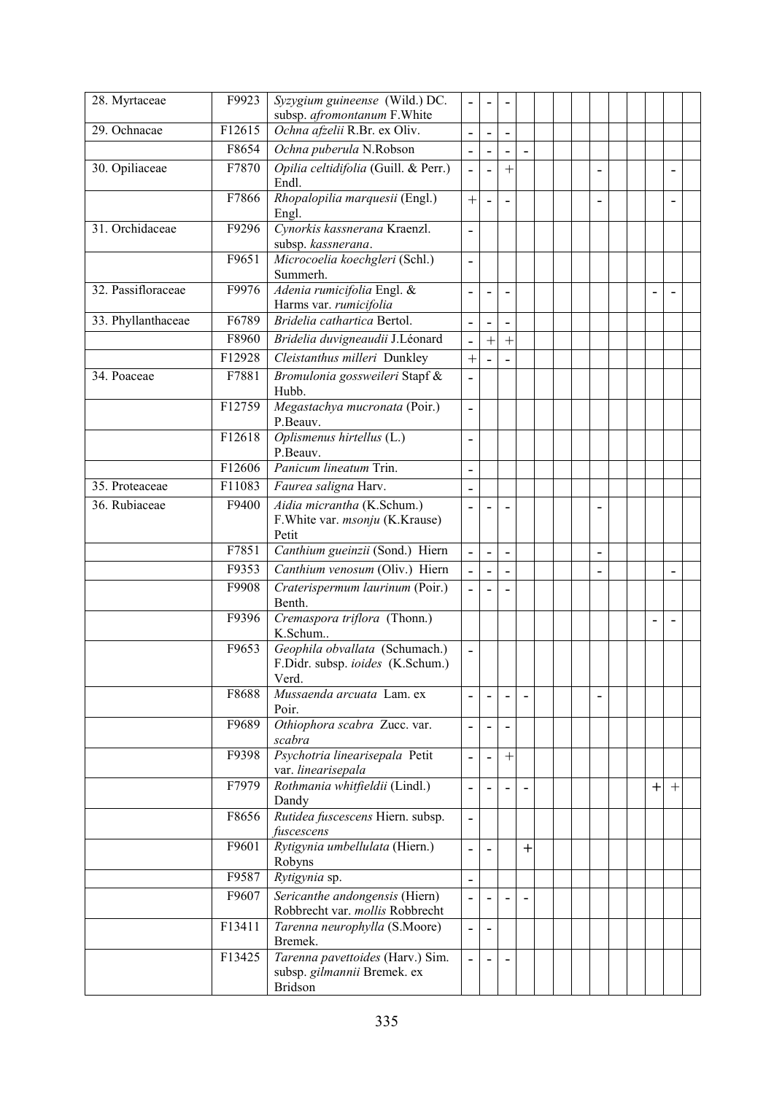| 28. Myrtaceae      | F9923  | Syzygium guineense (Wild.) DC.<br>subsp. afromontanum F. White              |                          |        |        |           |  |                |  |        |        |  |
|--------------------|--------|-----------------------------------------------------------------------------|--------------------------|--------|--------|-----------|--|----------------|--|--------|--------|--|
| 29. Ochnacae       | F12615 | Ochna afzelii R.Br. ex Oliv.                                                | $\blacksquare$           | ۰      | ۰      |           |  |                |  |        |        |  |
|                    | F8654  | Ochna puberula N.Robson                                                     |                          |        |        |           |  |                |  |        |        |  |
| 30. Opiliaceae     | F7870  | Opilia celtidifolia (Guill. & Perr.)<br>Endl.                               |                          |        | $^{+}$ |           |  | $\blacksquare$ |  |        |        |  |
|                    | F7866  | Rhopalopilia marquesii (Engl.)<br>Engl.                                     | $^{+}$                   |        |        |           |  |                |  |        |        |  |
| 31. Orchidaceae    | F9296  | Cynorkis kassnerana Kraenzl.<br>subsp. kassnerana.                          |                          |        |        |           |  |                |  |        |        |  |
|                    | F9651  | Microcoelia koechgleri (Schl.)<br>Summerh.                                  | $\overline{a}$           |        |        |           |  |                |  |        |        |  |
| 32. Passifloraceae | F9976  | Adenia rumicifolia Engl. &<br>Harms var. rumicifolia                        |                          |        |        |           |  |                |  |        |        |  |
| 33. Phyllanthaceae | F6789  | Bridelia cathartica Bertol.                                                 |                          |        |        |           |  |                |  |        |        |  |
|                    | F8960  | Bridelia duvigneaudii J.Léonard                                             | -                        | $^{+}$ | $^{+}$ |           |  |                |  |        |        |  |
|                    | F12928 | Cleistanthus milleri Dunkley                                                | $^{+}$                   |        |        |           |  |                |  |        |        |  |
| 34. Poaceae        | F7881  | Bromulonia gossweileri Stapf &<br>Hubb.                                     |                          |        |        |           |  |                |  |        |        |  |
|                    | F12759 | Megastachya mucronata (Poir.)<br>P.Beauv.                                   |                          |        |        |           |  |                |  |        |        |  |
|                    | F12618 | Oplismenus hirtellus (L.)<br>P.Beauv.                                       |                          |        |        |           |  |                |  |        |        |  |
|                    | F12606 | Panicum lineatum Trin.                                                      | $\overline{a}$           |        |        |           |  |                |  |        |        |  |
| 35. Proteaceae     | F11083 | Faurea saligna Harv.                                                        |                          |        |        |           |  |                |  |        |        |  |
| 36. Rubiaceae      | F9400  | Aidia micrantha (K.Schum.)<br>F. White var. msonju (K. Krause)<br>Petit     | -                        |        |        |           |  |                |  |        |        |  |
|                    | F7851  | Canthium gueinzii (Sond.) Hiern                                             | $\overline{\phantom{0}}$ |        |        |           |  | $\blacksquare$ |  |        |        |  |
|                    | F9353  | Canthium venosum (Oliv.) Hiern                                              |                          |        |        |           |  |                |  |        |        |  |
|                    | F9908  | Craterispermum laurinum (Poir.)<br>Benth.                                   |                          |        |        |           |  |                |  |        |        |  |
|                    | F9396  | Cremaspora triflora (Thonn.)<br>K.Schum                                     |                          |        |        |           |  |                |  |        |        |  |
|                    | F9653  | Geophila obvallata (Schumach.)<br>F.Didr. subsp. ioides (K.Schum.)<br>Verd. |                          |        |        |           |  |                |  |        |        |  |
|                    | F8688  | Mussaenda arcuata Lam. ex<br>Poir.                                          |                          |        |        |           |  |                |  |        |        |  |
|                    | F9689  | Othiophora scabra Zucc. var.<br>scabra                                      |                          |        |        |           |  |                |  |        |        |  |
|                    | F9398  | Psychotria linearisepala Petit<br>var. linearisepala                        |                          |        | $^{+}$ |           |  |                |  |        |        |  |
|                    | F7979  | Rothmania whitfieldii (Lindl.)<br>Dandy                                     |                          |        |        |           |  |                |  | $^{+}$ | $^{+}$ |  |
|                    | F8656  | Rutidea fuscescens Hiern. subsp.<br>fuscescens                              | $\overline{\phantom{a}}$ |        |        |           |  |                |  |        |        |  |
|                    | F9601  | Rytigynia umbellulata (Hiern.)<br>Robyns                                    | $\blacksquare$           |        |        | $\ddot{}$ |  |                |  |        |        |  |
|                    | F9587  | Rytigynia sp.                                                               | $\overline{\phantom{0}}$ |        |        |           |  |                |  |        |        |  |
|                    | F9607  | Sericanthe andongensis (Hiern)<br>Robbrecht var. mollis Robbrecht           |                          |        |        |           |  |                |  |        |        |  |
|                    | F13411 | Tarenna neurophylla (S.Moore)<br>Bremek.                                    |                          |        |        |           |  |                |  |        |        |  |
|                    | F13425 | Tarenna pavettoides (Harv.) Sim.<br>subsp. gilmannii Bremek. ex<br>Bridson  |                          |        |        |           |  |                |  |        |        |  |